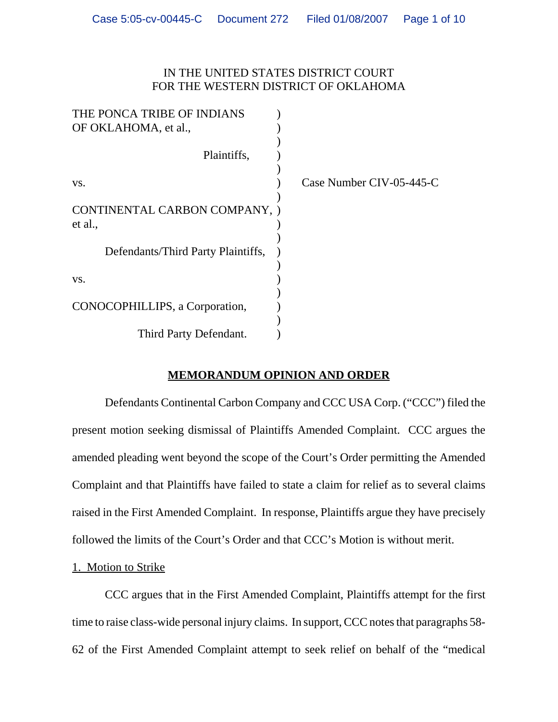## IN THE UNITED STATES DISTRICT COURT FOR THE WESTERN DISTRICT OF OKLAHOMA

| THE PONCA TRIBE OF INDIANS         |                          |
|------------------------------------|--------------------------|
| OF OKLAHOMA, et al.,               |                          |
|                                    |                          |
| Plaintiffs,                        |                          |
|                                    |                          |
| VS.                                | Case Number CIV-05-445-C |
|                                    |                          |
| CONTINENTAL CARBON COMPANY, )      |                          |
| et al.,                            |                          |
|                                    |                          |
| Defendants/Third Party Plaintiffs, |                          |
|                                    |                          |
| VS.                                |                          |
|                                    |                          |
| CONOCOPHILLIPS, a Corporation,     |                          |
|                                    |                          |
| Third Party Defendant.             |                          |

# **MEMORANDUM OPINION AND ORDER**

Defendants Continental Carbon Company and CCC USA Corp. ("CCC") filed the present motion seeking dismissal of Plaintiffs Amended Complaint. CCC argues the amended pleading went beyond the scope of the Court's Order permitting the Amended Complaint and that Plaintiffs have failed to state a claim for relief as to several claims raised in the First Amended Complaint. In response, Plaintiffs argue they have precisely followed the limits of the Court's Order and that CCC's Motion is without merit.

## 1. Motion to Strike

CCC argues that in the First Amended Complaint, Plaintiffs attempt for the first time to raise class-wide personal injury claims. In support, CCC notes that paragraphs 58- 62 of the First Amended Complaint attempt to seek relief on behalf of the "medical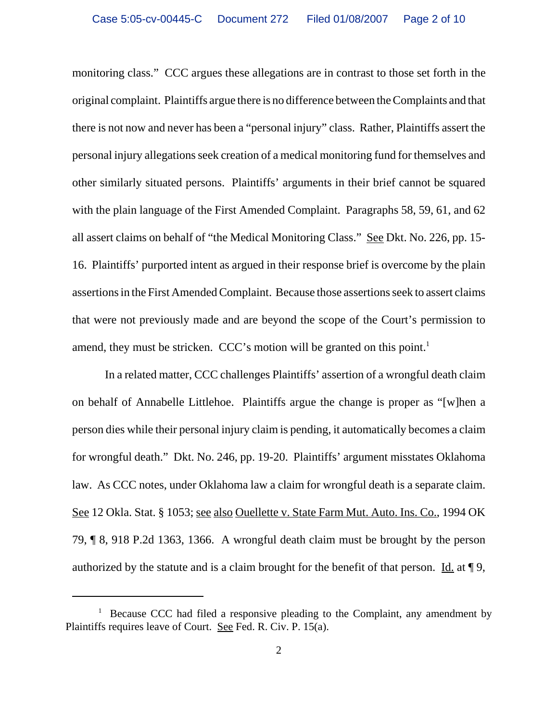monitoring class." CCC argues these allegations are in contrast to those set forth in the original complaint. Plaintiffs argue there is no difference between the Complaints and that there is not now and never has been a "personal injury" class. Rather, Plaintiffs assert the personal injury allegations seek creation of a medical monitoring fund for themselves and other similarly situated persons. Plaintiffs' arguments in their brief cannot be squared with the plain language of the First Amended Complaint. Paragraphs 58, 59, 61, and 62 all assert claims on behalf of "the Medical Monitoring Class." See Dkt. No. 226, pp. 15- 16. Plaintiffs' purported intent as argued in their response brief is overcome by the plain assertions in the First Amended Complaint. Because those assertions seek to assert claims that were not previously made and are beyond the scope of the Court's permission to amend, they must be stricken. CCC's motion will be granted on this point.<sup>1</sup>

In a related matter, CCC challenges Plaintiffs' assertion of a wrongful death claim on behalf of Annabelle Littlehoe. Plaintiffs argue the change is proper as "[w]hen a person dies while their personal injury claim is pending, it automatically becomes a claim for wrongful death." Dkt. No. 246, pp. 19-20. Plaintiffs' argument misstates Oklahoma law. As CCC notes, under Oklahoma law a claim for wrongful death is a separate claim. See 12 Okla. Stat. § 1053; see also Ouellette v. State Farm Mut. Auto. Ins. Co., 1994 OK 79, ¶ 8, 918 P.2d 1363, 1366. A wrongful death claim must be brought by the person authorized by the statute and is a claim brought for the benefit of that person. Id. at ¶ 9,

<sup>&</sup>lt;sup>1</sup> Because CCC had filed a responsive pleading to the Complaint, any amendment by Plaintiffs requires leave of Court. See Fed. R. Civ. P. 15(a).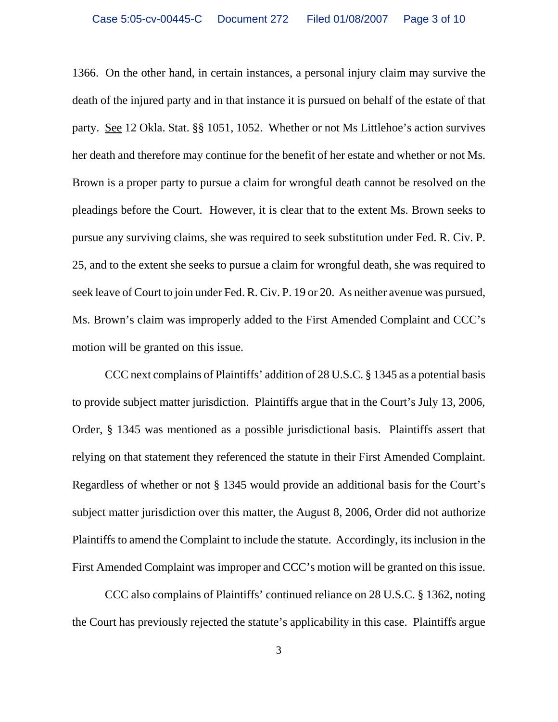1366. On the other hand, in certain instances, a personal injury claim may survive the death of the injured party and in that instance it is pursued on behalf of the estate of that party. See 12 Okla. Stat. §§ 1051, 1052. Whether or not Ms Littlehoe's action survives her death and therefore may continue for the benefit of her estate and whether or not Ms. Brown is a proper party to pursue a claim for wrongful death cannot be resolved on the pleadings before the Court. However, it is clear that to the extent Ms. Brown seeks to pursue any surviving claims, she was required to seek substitution under Fed. R. Civ. P. 25, and to the extent she seeks to pursue a claim for wrongful death, she was required to seek leave of Court to join under Fed. R. Civ. P. 19 or 20. As neither avenue was pursued, Ms. Brown's claim was improperly added to the First Amended Complaint and CCC's motion will be granted on this issue.

CCC next complains of Plaintiffs' addition of 28 U.S.C. § 1345 as a potential basis to provide subject matter jurisdiction. Plaintiffs argue that in the Court's July 13, 2006, Order, § 1345 was mentioned as a possible jurisdictional basis. Plaintiffs assert that relying on that statement they referenced the statute in their First Amended Complaint. Regardless of whether or not § 1345 would provide an additional basis for the Court's subject matter jurisdiction over this matter, the August 8, 2006, Order did not authorize Plaintiffs to amend the Complaint to include the statute. Accordingly, its inclusion in the First Amended Complaint was improper and CCC's motion will be granted on this issue.

CCC also complains of Plaintiffs' continued reliance on 28 U.S.C. § 1362, noting the Court has previously rejected the statute's applicability in this case. Plaintiffs argue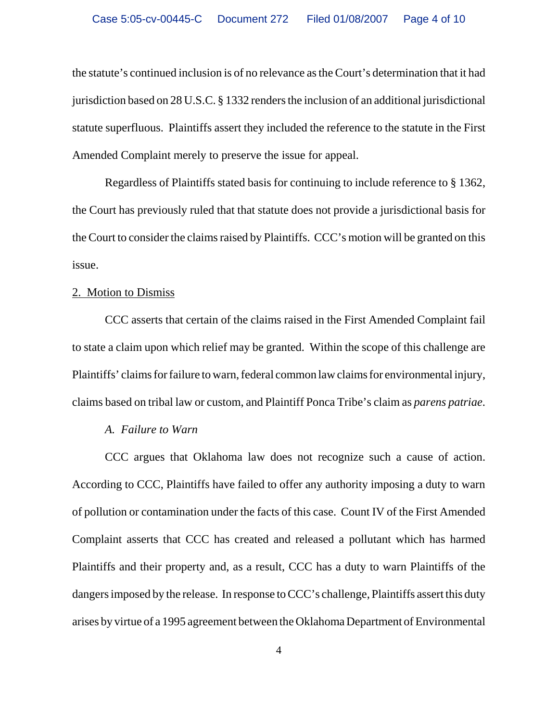the statute's continued inclusion is of no relevance as the Court's determination that it had jurisdiction based on 28 U.S.C. § 1332 renders the inclusion of an additional jurisdictional statute superfluous. Plaintiffs assert they included the reference to the statute in the First Amended Complaint merely to preserve the issue for appeal.

Regardless of Plaintiffs stated basis for continuing to include reference to § 1362, the Court has previously ruled that that statute does not provide a jurisdictional basis for the Court to consider the claims raised by Plaintiffs. CCC's motion will be granted on this issue.

#### 2. Motion to Dismiss

CCC asserts that certain of the claims raised in the First Amended Complaint fail to state a claim upon which relief may be granted. Within the scope of this challenge are Plaintiffs' claims for failure to warn, federal common law claims for environmental injury, claims based on tribal law or custom, and Plaintiff Ponca Tribe's claim as *parens patriae*.

#### *A. Failure to Warn*

CCC argues that Oklahoma law does not recognize such a cause of action. According to CCC, Plaintiffs have failed to offer any authority imposing a duty to warn of pollution or contamination under the facts of this case. Count IV of the First Amended Complaint asserts that CCC has created and released a pollutant which has harmed Plaintiffs and their property and, as a result, CCC has a duty to warn Plaintiffs of the dangers imposed by the release. In response to CCC's challenge, Plaintiffs assert this duty arises by virtue of a 1995 agreement between the Oklahoma Department of Environmental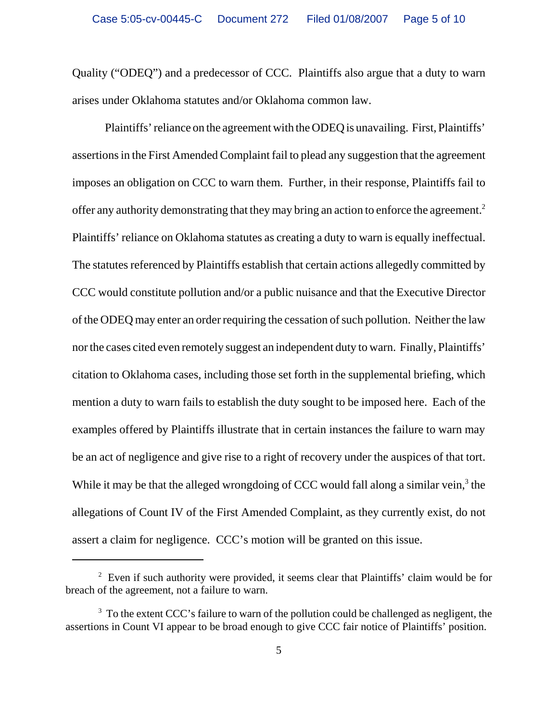Quality ("ODEQ") and a predecessor of CCC. Plaintiffs also argue that a duty to warn arises under Oklahoma statutes and/or Oklahoma common law.

Plaintiffs' reliance on the agreement with the ODEQ is unavailing. First, Plaintiffs' assertions in the First Amended Complaint fail to plead any suggestion that the agreement imposes an obligation on CCC to warn them. Further, in their response, Plaintiffs fail to offer any authority demonstrating that they may bring an action to enforce the agreement.<sup>2</sup> Plaintiffs' reliance on Oklahoma statutes as creating a duty to warn is equally ineffectual. The statutes referenced by Plaintiffs establish that certain actions allegedly committed by CCC would constitute pollution and/or a public nuisance and that the Executive Director of the ODEQ may enter an order requiring the cessation of such pollution. Neither the law nor the cases cited even remotely suggest an independent duty to warn. Finally, Plaintiffs' citation to Oklahoma cases, including those set forth in the supplemental briefing, which mention a duty to warn fails to establish the duty sought to be imposed here. Each of the examples offered by Plaintiffs illustrate that in certain instances the failure to warn may be an act of negligence and give rise to a right of recovery under the auspices of that tort. While it may be that the alleged wrongdoing of CCC would fall along a similar vein, $3$  the allegations of Count IV of the First Amended Complaint, as they currently exist, do not assert a claim for negligence. CCC's motion will be granted on this issue.

<sup>&</sup>lt;sup>2</sup> Even if such authority were provided, it seems clear that Plaintiffs' claim would be for breach of the agreement, not a failure to warn.

 $3$  To the extent CCC's failure to warn of the pollution could be challenged as negligent, the assertions in Count VI appear to be broad enough to give CCC fair notice of Plaintiffs' position.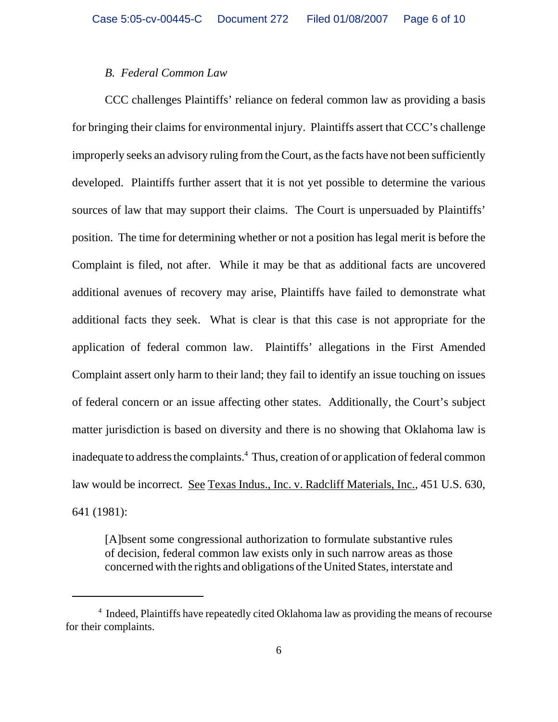### *B. Federal Common Law*

CCC challenges Plaintiffs' reliance on federal common law as providing a basis for bringing their claims for environmental injury. Plaintiffs assert that CCC's challenge improperly seeks an advisory ruling from the Court, as the facts have not been sufficiently developed. Plaintiffs further assert that it is not yet possible to determine the various sources of law that may support their claims. The Court is unpersuaded by Plaintiffs' position. The time for determining whether or not a position has legal merit is before the Complaint is filed, not after. While it may be that as additional facts are uncovered additional avenues of recovery may arise, Plaintiffs have failed to demonstrate what additional facts they seek. What is clear is that this case is not appropriate for the application of federal common law. Plaintiffs' allegations in the First Amended Complaint assert only harm to their land; they fail to identify an issue touching on issues of federal concern or an issue affecting other states. Additionally, the Court's subject matter jurisdiction is based on diversity and there is no showing that Oklahoma law is inadequate to address the complaints.<sup>4</sup> Thus, creation of or application of federal common law would be incorrect. See Texas Indus., Inc. v. Radcliff Materials, Inc., 451 U.S. 630, 641 (1981):

[A]bsent some congressional authorization to formulate substantive rules of decision, federal common law exists only in such narrow areas as those concerned with the rights and obligations of the United States, interstate and

<sup>&</sup>lt;sup>4</sup> Indeed, Plaintiffs have repeatedly cited Oklahoma law as providing the means of recourse for their complaints.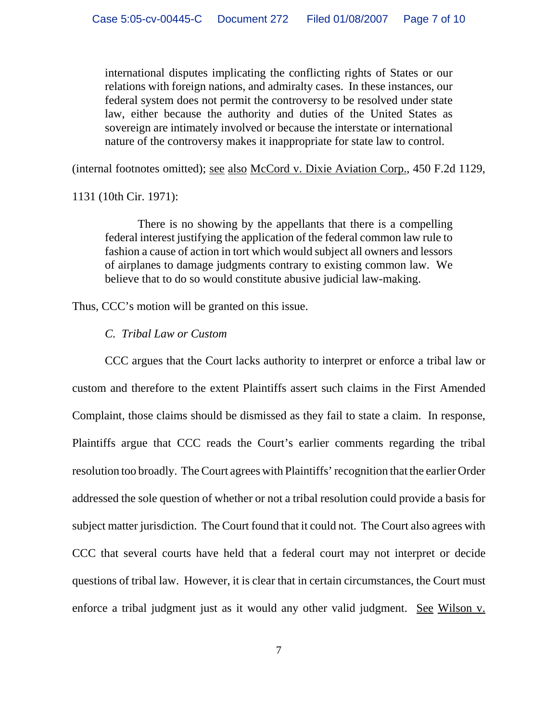international disputes implicating the conflicting rights of States or our relations with foreign nations, and admiralty cases. In these instances, our federal system does not permit the controversy to be resolved under state law, either because the authority and duties of the United States as sovereign are intimately involved or because the interstate or international nature of the controversy makes it inappropriate for state law to control.

(internal footnotes omitted); see also McCord v. Dixie Aviation Corp., 450 F.2d 1129,

1131 (10th Cir. 1971):

There is no showing by the appellants that there is a compelling federal interest justifying the application of the federal common law rule to fashion a cause of action in tort which would subject all owners and lessors of airplanes to damage judgments contrary to existing common law. We believe that to do so would constitute abusive judicial law-making.

Thus, CCC's motion will be granted on this issue.

#### *C. Tribal Law or Custom*

CCC argues that the Court lacks authority to interpret or enforce a tribal law or custom and therefore to the extent Plaintiffs assert such claims in the First Amended Complaint, those claims should be dismissed as they fail to state a claim. In response, Plaintiffs argue that CCC reads the Court's earlier comments regarding the tribal resolution too broadly. The Court agrees with Plaintiffs' recognition that the earlier Order addressed the sole question of whether or not a tribal resolution could provide a basis for subject matter jurisdiction. The Court found that it could not. The Court also agrees with CCC that several courts have held that a federal court may not interpret or decide questions of tribal law. However, it is clear that in certain circumstances, the Court must enforce a tribal judgment just as it would any other valid judgment. See Wilson v.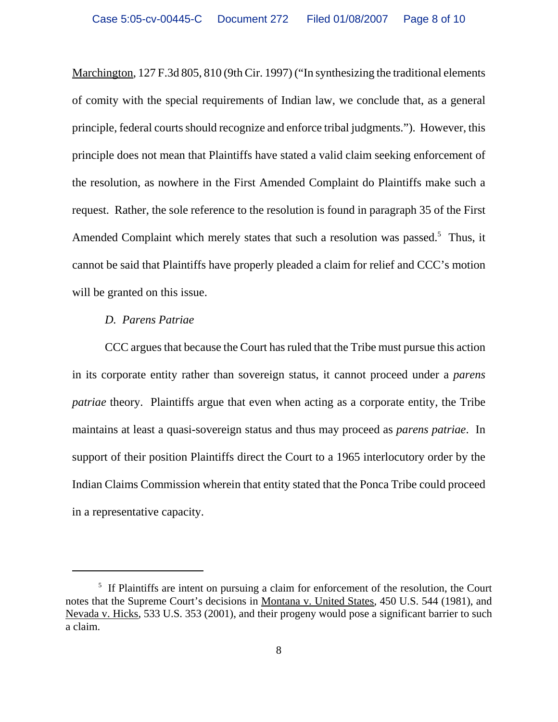Marchington, 127 F.3d 805, 810 (9th Cir. 1997) ("In synthesizing the traditional elements of comity with the special requirements of Indian law, we conclude that, as a general principle, federal courts should recognize and enforce tribal judgments."). However, this principle does not mean that Plaintiffs have stated a valid claim seeking enforcement of the resolution, as nowhere in the First Amended Complaint do Plaintiffs make such a request. Rather, the sole reference to the resolution is found in paragraph 35 of the First Amended Complaint which merely states that such a resolution was passed.<sup>5</sup> Thus, it cannot be said that Plaintiffs have properly pleaded a claim for relief and CCC's motion will be granted on this issue.

#### *D. Parens Patriae*

CCC argues that because the Court has ruled that the Tribe must pursue this action in its corporate entity rather than sovereign status, it cannot proceed under a *parens patriae* theory. Plaintiffs argue that even when acting as a corporate entity, the Tribe maintains at least a quasi-sovereign status and thus may proceed as *parens patriae*. In support of their position Plaintiffs direct the Court to a 1965 interlocutory order by the Indian Claims Commission wherein that entity stated that the Ponca Tribe could proceed in a representative capacity.

<sup>&</sup>lt;sup>5</sup> If Plaintiffs are intent on pursuing a claim for enforcement of the resolution, the Court notes that the Supreme Court's decisions in Montana v. United States, 450 U.S. 544 (1981), and Nevada v. Hicks, 533 U.S. 353 (2001), and their progeny would pose a significant barrier to such a claim.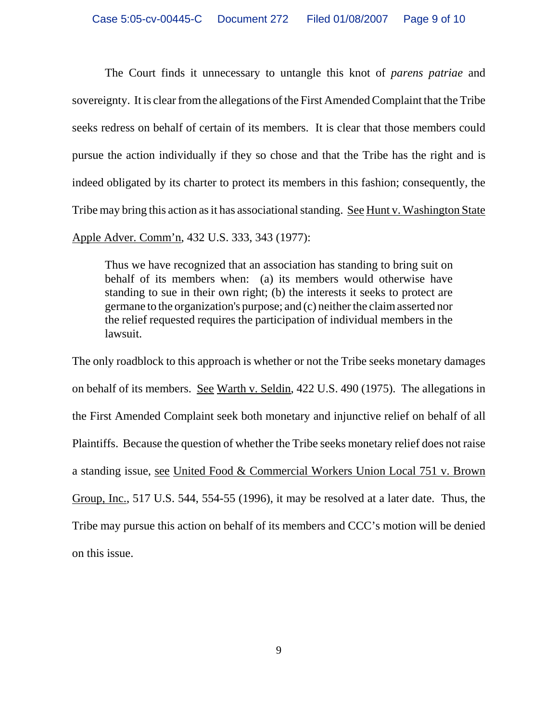The Court finds it unnecessary to untangle this knot of *parens patriae* and sovereignty. It is clear from the allegations of the First Amended Complaint that the Tribe seeks redress on behalf of certain of its members. It is clear that those members could pursue the action individually if they so chose and that the Tribe has the right and is indeed obligated by its charter to protect its members in this fashion; consequently, the Tribe may bring this action as it has associational standing. See Hunt v. Washington State Apple Adver. Comm'n, 432 U.S. 333, 343 (1977):

Thus we have recognized that an association has standing to bring suit on behalf of its members when: (a) its members would otherwise have standing to sue in their own right; (b) the interests it seeks to protect are germane to the organization's purpose; and (c) neither the claim asserted nor the relief requested requires the participation of individual members in the lawsuit.

The only roadblock to this approach is whether or not the Tribe seeks monetary damages on behalf of its members. See Warth v. Seldin, 422 U.S. 490 (1975). The allegations in the First Amended Complaint seek both monetary and injunctive relief on behalf of all Plaintiffs. Because the question of whether the Tribe seeks monetary relief does not raise a standing issue, see United Food & Commercial Workers Union Local 751 v. Brown Group, Inc., 517 U.S. 544, 554-55 (1996), it may be resolved at a later date. Thus, the Tribe may pursue this action on behalf of its members and CCC's motion will be denied on this issue.